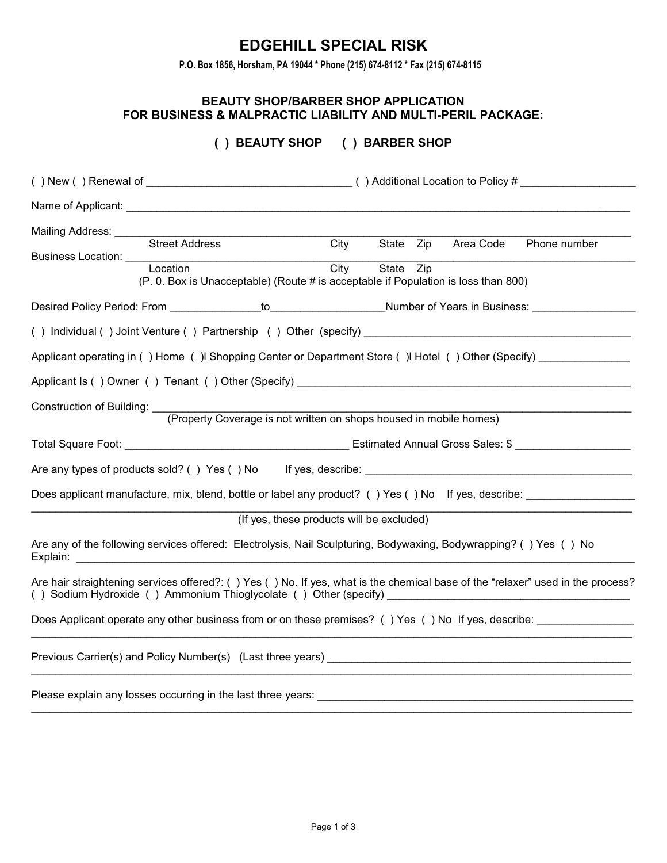# **EDGEHILL SPECIAL RISK**

**P.O. Box 1856, Horsham, PA 19044 \* Phone (215) 674-8112 \* Fax (215) 674-8115**

#### **BEAUTY SHOP/BARBER SHOP APPLICATION FOR BUSINESS & MALPRACTIC LIABILITY AND MULTI-PERIL PACKAGE:**

## **( ) BEAUTY SHOP ( ) BARBER SHOP**

| Mailing Address: _______              | Street Address                                                                                                                                                                                                                         | City                                      | State Zip |  | Area Code | Phone number |
|---------------------------------------|----------------------------------------------------------------------------------------------------------------------------------------------------------------------------------------------------------------------------------------|-------------------------------------------|-----------|--|-----------|--------------|
|                                       | Business Location: Location                                                                                                                                                                                                            |                                           |           |  |           |              |
|                                       | (P. 0. Box is Unacceptable) (Route # is acceptable if Population is loss than 800)                                                                                                                                                     | City                                      | State Zip |  |           |              |
|                                       |                                                                                                                                                                                                                                        |                                           |           |  |           |              |
|                                       |                                                                                                                                                                                                                                        |                                           |           |  |           |              |
|                                       | Applicant operating in () Home () Shopping Center or Department Store () Hotel () Other (Specify) ____________                                                                                                                         |                                           |           |  |           |              |
|                                       | Applicant Is () Owner () Tenant () Other (Specify) entertainment of the state of the state of the state of the                                                                                                                         |                                           |           |  |           |              |
| Construction of Building: ___________ | (Property Coverage is not written on shops housed in mobile homes)                                                                                                                                                                     |                                           |           |  |           |              |
|                                       |                                                                                                                                                                                                                                        |                                           |           |  |           |              |
|                                       |                                                                                                                                                                                                                                        |                                           |           |  |           |              |
|                                       |                                                                                                                                                                                                                                        |                                           |           |  |           |              |
|                                       | Does applicant manufacture, mix, blend, bottle or label any product? () Yes () No If yes, describe:                                                                                                                                    |                                           |           |  |           |              |
|                                       |                                                                                                                                                                                                                                        | (If yes, these products will be excluded) |           |  |           |              |
|                                       | Are any of the following services offered: Electrolysis, Nail Sculpturing, Bodywaxing, Bodywrapping? () Yes () No                                                                                                                      |                                           |           |  |           |              |
|                                       | Are hair straightening services offered?: () Yes () No. If yes, what is the chemical base of the "relaxer" used in the process?<br>() Sodium Hydroxide () Ammonium Thioglycolate () Other (specify) __________________________________ |                                           |           |  |           |              |
|                                       | Does Applicant operate any other business from or on these premises? () Yes () No If yes, describe:                                                                                                                                    |                                           |           |  |           |              |
|                                       | Previous Carrier(s) and Policy Number(s) (Last three years) entitled and the control of the control of the control of the control of the control of the control of the control of the control of the control of the control of         |                                           |           |  |           |              |
|                                       | Please explain any losses occurring in the last three years:                                                                                                                                                                           |                                           |           |  |           |              |

\_\_\_\_\_\_\_\_\_\_\_\_\_\_\_\_\_\_\_\_\_\_\_\_\_\_\_\_\_\_\_\_\_\_\_\_\_\_\_\_\_\_\_\_\_\_\_\_\_\_\_\_\_\_\_\_\_\_\_\_\_\_\_\_\_\_\_\_\_\_\_\_\_\_\_\_\_\_\_\_\_\_\_\_\_\_\_\_\_\_\_\_\_\_\_\_\_\_\_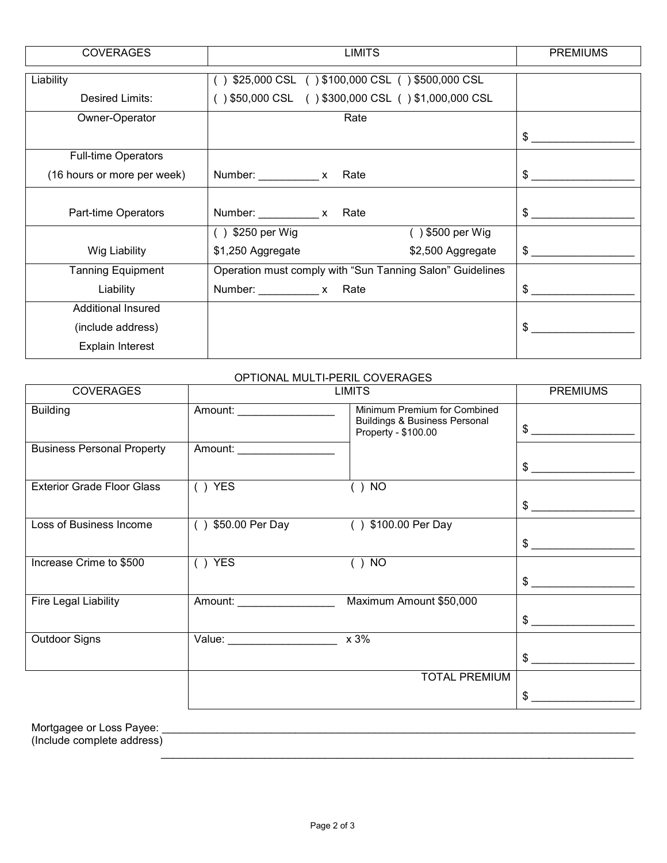| <b>COVERAGES</b>            | <b>LIMITS</b>                                             | <b>PREMIUMS</b>               |
|-----------------------------|-----------------------------------------------------------|-------------------------------|
| Liability                   | \$25,000 CSL () \$100,000 CSL () \$500,000 CSL            |                               |
| Desired Limits:             | () \$50,000 CSL () \$300,000 CSL () \$1,000,000 CSL       |                               |
| Owner-Operator              | Rate                                                      |                               |
|                             |                                                           | S                             |
| <b>Full-time Operators</b>  |                                                           |                               |
| (16 hours or more per week) |                                                           | $\mathbb{S}$ and $\mathbb{S}$ |
|                             |                                                           |                               |
| Part-time Operators         |                                                           | \$.                           |
|                             | () \$500 per Wig<br>$( )$ \$250 per Wig                   |                               |
| Wig Liability               | \$1,250 Aggregate<br>\$2,500 Aggregate                    | $\frac{1}{2}$                 |
| <b>Tanning Equipment</b>    | Operation must comply with "Sun Tanning Salon" Guidelines |                               |
| Liability                   |                                                           | \$.                           |
| <b>Additional Insured</b>   |                                                           |                               |
| (include address)           |                                                           | S                             |
| <b>Explain Interest</b>     |                                                           |                               |

## OPTIONAL MULTI-PERIL COVERAGES

| <b>COVERAGES</b>                  |                                | <b>PREMIUMS</b>                                                                                 |               |
|-----------------------------------|--------------------------------|-------------------------------------------------------------------------------------------------|---------------|
| <b>Building</b>                   | Amount: ____________________   | Minimum Premium for Combined<br><b>Buildings &amp; Business Personal</b><br>Property - \$100.00 | \$            |
| <b>Business Personal Property</b> | Amount: _____________________  |                                                                                                 | $\frac{1}{2}$ |
| <b>Exterior Grade Floor Glass</b> | $( )$ YES                      | ) NO                                                                                            | $\mathsf{S}$  |
| Loss of Business Income           | $( )$ \$50.00 Per Day          | () \$100.00 Per Day                                                                             | \$            |
| Increase Crime to \$500           | $( )$ YES                      | $( )$ NO                                                                                        | $\frac{1}{2}$ |
| Fire Legal Liability              | Amount: ___________________    | Maximum Amount \$50,000                                                                         | \$.           |
| Outdoor Signs                     | Value: _______________________ | x 3%                                                                                            | $$\sim$$      |
|                                   |                                | <b>TOTAL PREMIUM</b>                                                                            |               |
|                                   |                                |                                                                                                 | \$            |

Mortgagee or Loss Payee: \_\_\_\_\_\_\_\_\_\_\_\_\_\_\_\_\_\_\_\_\_\_\_\_\_\_\_\_\_\_\_\_\_\_\_\_\_\_\_\_\_\_\_\_\_\_\_\_\_\_\_\_\_\_\_\_\_\_\_\_\_\_\_\_\_\_\_\_\_\_\_\_\_\_\_\_\_\_

(Include complete address)  $\frac{1}{2}$  ,  $\frac{1}{2}$  ,  $\frac{1}{2}$  ,  $\frac{1}{2}$  ,  $\frac{1}{2}$  ,  $\frac{1}{2}$  ,  $\frac{1}{2}$  ,  $\frac{1}{2}$  ,  $\frac{1}{2}$  ,  $\frac{1}{2}$  ,  $\frac{1}{2}$  ,  $\frac{1}{2}$  ,  $\frac{1}{2}$  ,  $\frac{1}{2}$  ,  $\frac{1}{2}$  ,  $\frac{1}{2}$  ,  $\frac{1}{2}$  ,  $\frac{1}{2}$  ,  $\frac{1$